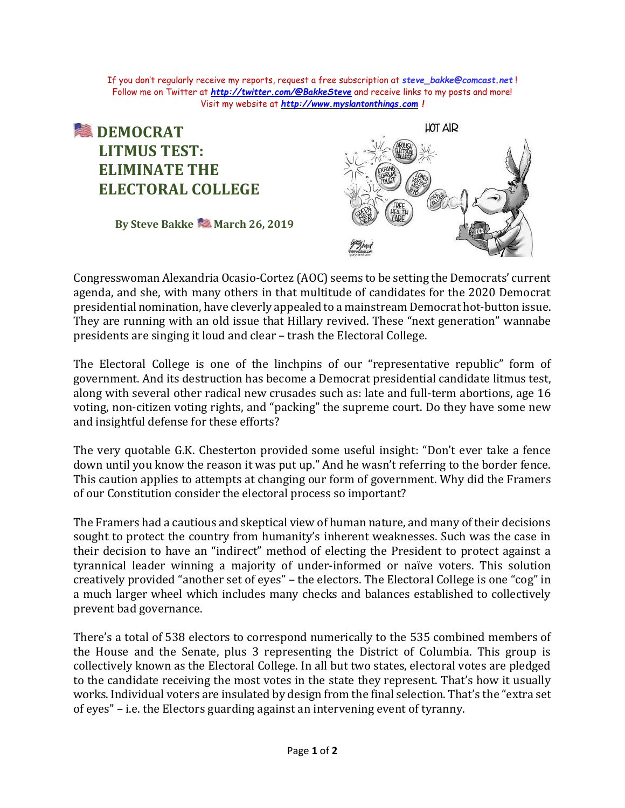If you don't regularly receive my reports, request a free subscription at *[steve\\_bakke@comcast.net](mailto:steve_bakke@comcast.net)* ! Follow me on Twitter at *<http://twitter.com/@BakkeSteve>* and receive links to my posts and more! Visit my website at *[http://www.myslantonthings.com](http://www.myslantonthings.com/) !*

## **<u> 1</u>** DEMOCRAT  **LITMUS TEST: ELIMINATE THE ELECTORAL COLLEGE**

**By Steve Bakke March 26, 2019**



Congresswoman Alexandria Ocasio-Cortez (AOC) seems to be setting the Democrats' current agenda, and she, with many others in that multitude of candidates for the 2020 Democrat presidential nomination, have cleverly appealed to a mainstream Democrat hot-button issue. They are running with an old issue that Hillary revived. These "next generation" wannabe presidents are singing it loud and clear – trash the Electoral College.

The Electoral College is one of the linchpins of our "representative republic" form of government. And its destruction has become a Democrat presidential candidate litmus test, along with several other radical new crusades such as: late and full-term abortions, age 16 voting, non-citizen voting rights, and "packing" the supreme court. Do they have some new and insightful defense for these efforts?

The very quotable G.K. Chesterton provided some useful insight: "Don't ever take a fence down until you know the reason it was put up." And he wasn't referring to the border fence. This caution applies to attempts at changing our form of government. Why did the Framers of our Constitution consider the electoral process so important?

The Framers had a cautious and skeptical view of human nature, and many of their decisions sought to protect the country from humanity's inherent weaknesses. Such was the case in their decision to have an "indirect" method of electing the President to protect against a tyrannical leader winning a majority of under-informed or naïve voters. This solution creatively provided "another set of eyes" – the electors. The Electoral College is one "cog" in a much larger wheel which includes many checks and balances established to collectively prevent bad governance.

There's a total of 538 electors to correspond numerically to the 535 combined members of the House and the Senate, plus 3 representing the District of Columbia. This group is collectively known as the Electoral College. In all but two states, electoral votes are pledged to the candidate receiving the most votes in the state they represent. That's how it usually works. Individual voters are insulated by design from the final selection. That's the "extra set of eyes" – i.e. the Electors guarding against an intervening event of tyranny.